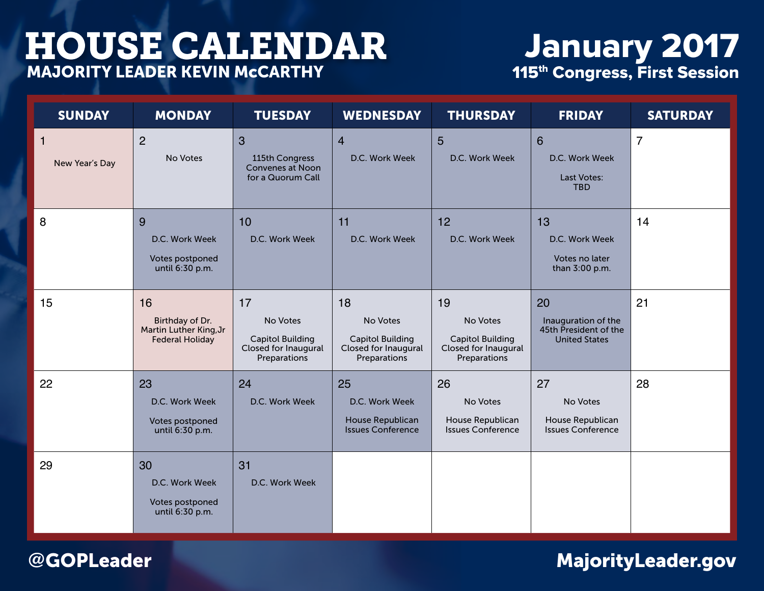# January 2017 115<sup>th</sup> Congress, First Session

| <b>SUNDAY</b>                  | <b>MONDAY</b>                                                             | <b>TUESDAY</b>                                                                    | <b>WEDNESDAY</b>                                                                  | <b>THURSDAY</b>                                                                   | <b>FRIDAY</b>                                                              | <b>SATURDAY</b> |
|--------------------------------|---------------------------------------------------------------------------|-----------------------------------------------------------------------------------|-----------------------------------------------------------------------------------|-----------------------------------------------------------------------------------|----------------------------------------------------------------------------|-----------------|
| $\mathbf{1}$<br>New Year's Day | 2<br>No Votes                                                             | $\mathbf{3}$<br>115th Congress<br>Convenes at Noon<br>for a Quorum Call           | $\overline{4}$<br>D.C. Work Week                                                  | 5<br>D.C. Work Week                                                               | $6\phantom{1}$<br>D.C. Work Week<br>Last Votes:<br><b>TBD</b>              | $\overline{7}$  |
| 8                              | 9<br>D.C. Work Week<br>Votes postponed<br>until 6:30 p.m.                 | 10<br>D.C. Work Week                                                              | 11<br>D.C. Work Week                                                              | 12<br>D.C. Work Week                                                              | 13<br>D.C. Work Week<br>Votes no later<br>than 3:00 p.m.                   | 14              |
| 15                             | 16<br>Birthday of Dr.<br>Martin Luther King, Jr<br><b>Federal Holiday</b> | 17<br>No Votes<br><b>Capitol Building</b><br>Closed for Inaugural<br>Preparations | 18<br>No Votes<br><b>Capitol Building</b><br>Closed for Inaugural<br>Preparations | 19<br>No Votes<br><b>Capitol Building</b><br>Closed for Inaugural<br>Preparations | 20<br>Inauguration of the<br>45th President of the<br><b>United States</b> | 21              |
| 22                             | 23<br>D.C. Work Week<br>Votes postponed<br>until 6:30 p.m.                | 24<br>D.C. Work Week                                                              | 25<br>D.C. Work Week<br>House Republican<br><b>Issues Conference</b>              | 26<br>No Votes<br>House Republican<br><b>Issues Conference</b>                    | 27<br>No Votes<br>House Republican<br><b>Issues Conference</b>             | 28              |
| 29                             | 30<br>D.C. Work Week<br>Votes postponed<br>until 6:30 p.m.                | 31<br>D.C. Work Week                                                              |                                                                                   |                                                                                   |                                                                            |                 |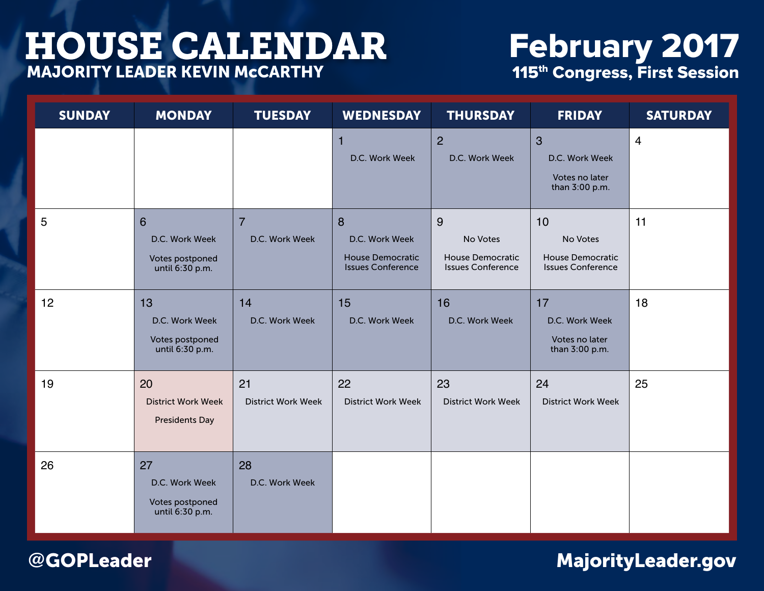# February 2017 115<sup>th</sup> Congress, First Session

| <b>SUNDAY</b> | <b>MONDAY</b>                                              | <b>TUESDAY</b>                   | <b>WEDNESDAY</b>                                                           | <b>THURSDAY</b>                                               | <b>FRIDAY</b>                                                        | <b>SATURDAY</b> |
|---------------|------------------------------------------------------------|----------------------------------|----------------------------------------------------------------------------|---------------------------------------------------------------|----------------------------------------------------------------------|-----------------|
|               |                                                            |                                  | 1<br>D.C. Work Week                                                        | $\overline{2}$<br>D.C. Work Week                              | $\overline{3}$<br>D.C. Work Week<br>Votes no later<br>than 3:00 p.m. | $\overline{4}$  |
| 5             | 6<br>D.C. Work Week<br>Votes postponed<br>until 6:30 p.m.  | $\overline{7}$<br>D.C. Work Week | 8<br>D.C. Work Week<br><b>House Democratic</b><br><b>Issues Conference</b> | 9<br>No Votes<br>House Democratic<br><b>Issues Conference</b> | 10<br>No Votes<br>House Democratic<br><b>Issues Conference</b>       | 11              |
| 12            | 13<br>D.C. Work Week<br>Votes postponed<br>until 6:30 p.m. | 14<br>D.C. Work Week             | 15<br>D.C. Work Week                                                       | 16<br>D.C. Work Week                                          | 17<br>D.C. Work Week<br>Votes no later<br>than 3:00 p.m.             | 18              |
| 19            | 20<br><b>District Work Week</b><br><b>Presidents Day</b>   | 21<br><b>District Work Week</b>  | 22<br><b>District Work Week</b>                                            | 23<br><b>District Work Week</b>                               | 24<br><b>District Work Week</b>                                      | 25              |
| 26            | 27<br>D.C. Work Week<br>Votes postponed<br>until 6:30 p.m. | 28<br>D.C. Work Week             |                                                                            |                                                               |                                                                      |                 |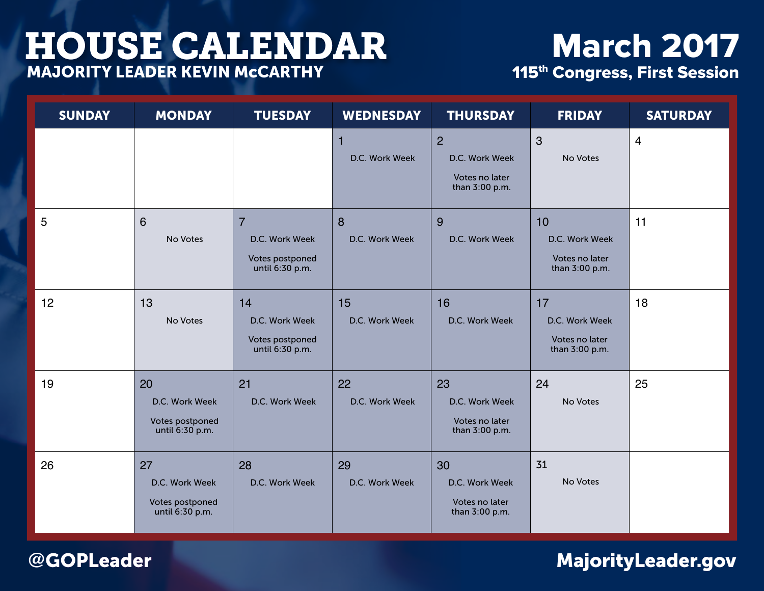# **March 2017** 115<sup>th</sup> Congress, First Session

| <b>SUNDAY</b> | <b>MONDAY</b>                                              | <b>TUESDAY</b>                                                         | <b>WEDNESDAY</b>     | <b>THURSDAY</b>                                                      | <b>FRIDAY</b>                                            | <b>SATURDAY</b> |
|---------------|------------------------------------------------------------|------------------------------------------------------------------------|----------------------|----------------------------------------------------------------------|----------------------------------------------------------|-----------------|
|               |                                                            |                                                                        | 1<br>D.C. Work Week  | $\overline{2}$<br>D.C. Work Week<br>Votes no later<br>than 3:00 p.m. | $\mathbf{3}$<br>No Votes                                 | $\overline{4}$  |
| 5             | $6\phantom{1}$<br>No Votes                                 | $\overline{7}$<br>D.C. Work Week<br>Votes postponed<br>until 6:30 p.m. | 8<br>D.C. Work Week  | 9<br>D.C. Work Week                                                  | 10<br>D.C. Work Week<br>Votes no later<br>than 3:00 p.m. | 11              |
| 12            | 13<br>No Votes                                             | 14<br>D.C. Work Week<br>Votes postponed<br>until 6:30 p.m.             | 15<br>D.C. Work Week | 16<br>D.C. Work Week                                                 | 17<br>D.C. Work Week<br>Votes no later<br>than 3:00 p.m. | 18              |
| 19            | 20<br>D.C. Work Week<br>Votes postponed<br>until 6:30 p.m. | 21<br>D.C. Work Week                                                   | 22<br>D.C. Work Week | 23<br>D.C. Work Week<br>Votes no later<br>than 3:00 p.m.             | 24<br>No Votes                                           | 25              |
| 26            | 27<br>D.C. Work Week<br>Votes postponed<br>until 6:30 p.m. | 28<br>D.C. Work Week                                                   | 29<br>D.C. Work Week | 30<br>D.C. Work Week<br>Votes no later<br>than 3:00 p.m.             | 31<br>No Votes                                           |                 |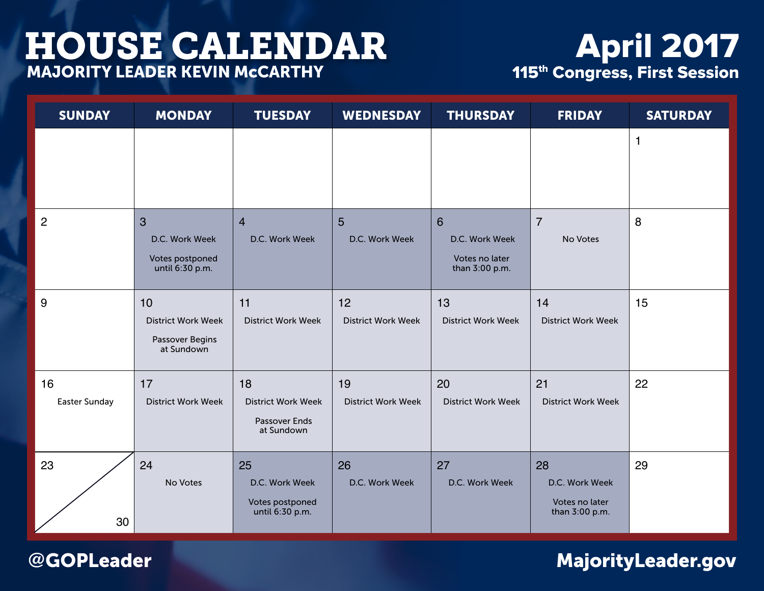# April 2017 115<sup>th</sup> Congress, First Session

| <b>SUNDAY</b>              | <b>MONDAY</b>                                                    | <b>TUESDAY</b>                                                 | <b>WEDNESDAY</b>                 | <b>THURSDAY</b>                                         | <b>FRIDAY</b>                                            | <b>SATURDAY</b> |
|----------------------------|------------------------------------------------------------------|----------------------------------------------------------------|----------------------------------|---------------------------------------------------------|----------------------------------------------------------|-----------------|
|                            |                                                                  |                                                                |                                  |                                                         |                                                          | $\mathbf{1}$    |
| $\overline{2}$             | 3<br>D.C. Work Week<br>Votes postponed<br>until 6:30 p.m.        | $\overline{4}$<br>D.C. Work Week                               | $5\phantom{1}$<br>D.C. Work Week | 6<br>D.C. Work Week<br>Votes no later<br>than 3:00 p.m. | $\overline{7}$<br>No Votes                               | 8               |
| 9                          | 10<br><b>District Work Week</b><br>Passover Begins<br>at Sundown | 11<br><b>District Work Week</b>                                | 12<br><b>District Work Week</b>  | 13<br><b>District Work Week</b>                         | 14<br><b>District Work Week</b>                          | 15              |
| 16<br><b>Easter Sunday</b> | 17<br><b>District Work Week</b>                                  | 18<br><b>District Work Week</b><br>Passover Ends<br>at Sundown | 19<br><b>District Work Week</b>  | 20<br><b>District Work Week</b>                         | 21<br><b>District Work Week</b>                          | 22              |
| 23<br>30                   | 24<br>No Votes                                                   | 25<br>D.C. Work Week<br>Votes postponed<br>until 6:30 p.m.     | 26<br>D.C. Work Week             | 27<br>D.C. Work Week                                    | 28<br>D.C. Work Week<br>Votes no later<br>than 3:00 p.m. | 29              |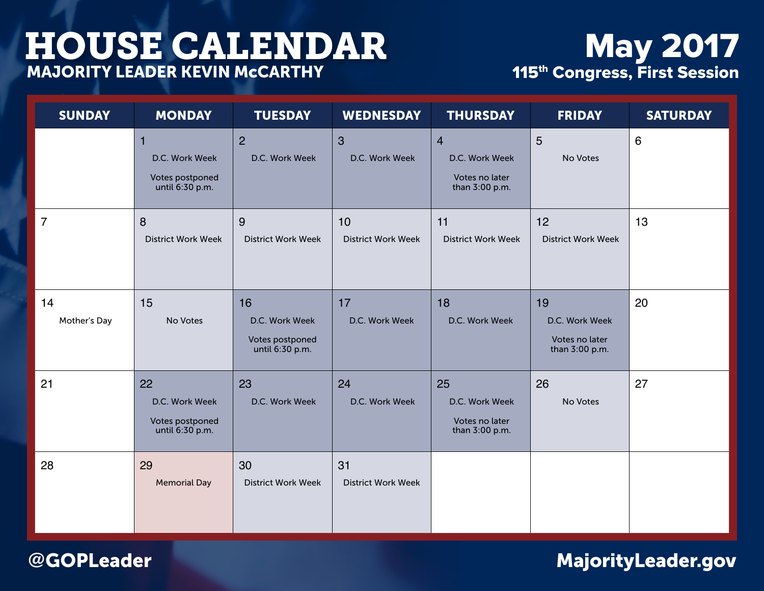# May 2017 115<sup>th</sup> Congress, First Session

| <b>SUNDAY</b>      | <b>MONDAY</b>                                              | <b>TUESDAY</b>                                             | <b>WEDNESDAY</b>                 | <b>THURSDAY</b>                                                      | <b>FRIDAY</b>                                            | <b>SATURDAY</b> |
|--------------------|------------------------------------------------------------|------------------------------------------------------------|----------------------------------|----------------------------------------------------------------------|----------------------------------------------------------|-----------------|
|                    | D.C. Work Week<br>Votes postponed<br>until 6:30 p.m.       | $\overline{2}$<br>D.C. Work Week                           | $\overline{3}$<br>D.C. Work Week | $\overline{4}$<br>D.C. Work Week<br>Votes no later<br>than 3:00 p.m. | 5<br>No Votes                                            | $6\,$           |
| $\overline{7}$     | 8<br><b>District Work Week</b>                             | 9<br><b>District Work Week</b>                             | 10<br><b>District Work Week</b>  | 11<br><b>District Work Week</b>                                      | 12<br><b>District Work Week</b>                          | 13              |
| 14<br>Mother's Day | 15<br>No Votes                                             | 16<br>D.C. Work Week<br>Votes postponed<br>until 6:30 p.m. | 17<br>D.C. Work Week             | 18<br>D.C. Work Week                                                 | 19<br>D.C. Work Week<br>Votes no later<br>than 3:00 p.m. | 20              |
| 21                 | 22<br>D.C. Work Week<br>Votes postponed<br>until 6:30 p.m. | 23<br>D.C. Work Week                                       | 24<br>D.C. Work Week             | 25<br>D.C. Work Week<br>Votes no later<br>than 3:00 p.m.             | 26<br>No Votes                                           | 27              |
| 28                 | 29<br><b>Memorial Day</b>                                  | 30<br><b>District Work Week</b>                            | 31<br><b>District Work Week</b>  |                                                                      |                                                          |                 |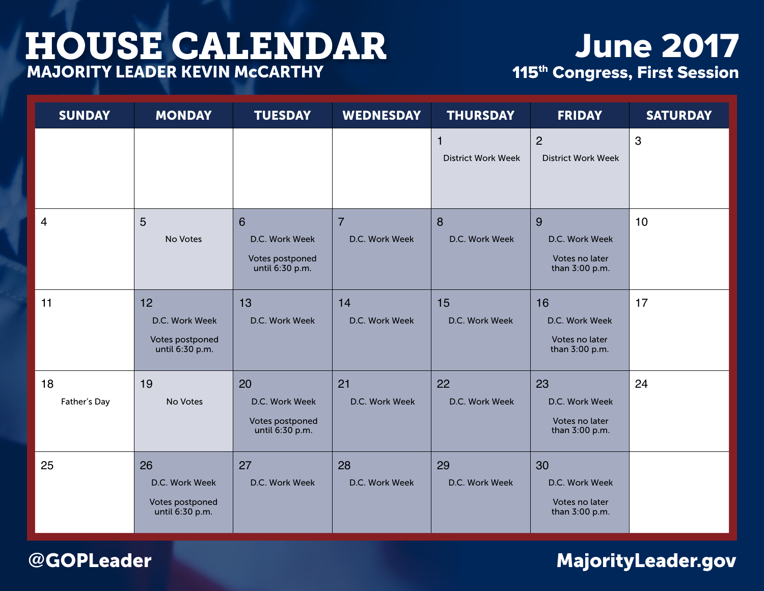# June 2017 115<sup>th</sup> Congress, First Session

| <b>SUNDAY</b>      | <b>MONDAY</b>                                              | <b>TUESDAY</b>                                             | <b>WEDNESDAY</b>                 | <b>THURSDAY</b>                           | <b>FRIDAY</b>                                            | <b>SATURDAY</b> |
|--------------------|------------------------------------------------------------|------------------------------------------------------------|----------------------------------|-------------------------------------------|----------------------------------------------------------|-----------------|
|                    |                                                            |                                                            |                                  | $\mathbf{1}$<br><b>District Work Week</b> | $\overline{2}$<br><b>District Work Week</b>              | 3               |
| $\overline{4}$     | 5<br>No Votes                                              | 6<br>D.C. Work Week<br>Votes postponed<br>until 6:30 p.m.  | $\overline{7}$<br>D.C. Work Week | 8<br>D.C. Work Week                       | 9<br>D.C. Work Week<br>Votes no later<br>than 3:00 p.m.  | 10              |
| 11                 | 12<br>D.C. Work Week<br>Votes postponed<br>until 6:30 p.m. | 13<br>D.C. Work Week                                       | 14<br>D.C. Work Week             | 15<br>D.C. Work Week                      | 16<br>D.C. Work Week<br>Votes no later<br>than 3:00 p.m. | 17              |
| 18<br>Father's Day | 19<br>No Votes                                             | 20<br>D.C. Work Week<br>Votes postponed<br>until 6:30 p.m. | 21<br>D.C. Work Week             | 22<br>D.C. Work Week                      | 23<br>D.C. Work Week<br>Votes no later<br>than 3:00 p.m. | 24              |
| 25                 | 26<br>D.C. Work Week<br>Votes postponed<br>until 6:30 p.m. | 27<br>D.C. Work Week                                       | 28<br>D.C. Work Week             | 29<br>D.C. Work Week                      | 30<br>D.C. Work Week<br>Votes no later<br>than 3:00 p.m. |                 |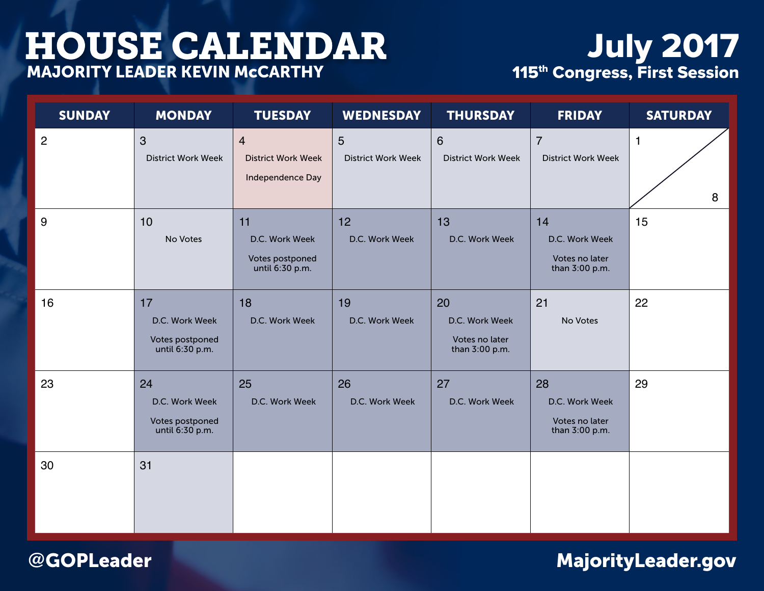# July 2017 115<sup>th</sup> Congress, First Session

| <b>SUNDAY</b>  | <b>MONDAY</b>                                              | <b>TUESDAY</b>                                                  | <b>WEDNESDAY</b>               | <b>THURSDAY</b>                                          | <b>FRIDAY</b>                                            | <b>SATURDAY</b>   |
|----------------|------------------------------------------------------------|-----------------------------------------------------------------|--------------------------------|----------------------------------------------------------|----------------------------------------------------------|-------------------|
| $\overline{2}$ | $\mathbf{3}$<br><b>District Work Week</b>                  | $\overline{4}$<br><b>District Work Week</b><br>Independence Day | 5<br><b>District Work Week</b> | $6\phantom{1}$<br><b>District Work Week</b>              | $\overline{7}$<br><b>District Work Week</b>              | $\mathbf{1}$<br>8 |
| 9              | 10<br>No Votes                                             | 11<br>D.C. Work Week<br>Votes postponed<br>until 6:30 p.m.      | 12<br>D.C. Work Week           | 13<br>D.C. Work Week                                     | 14<br>D.C. Work Week<br>Votes no later<br>than 3:00 p.m. | 15                |
| 16             | 17<br>D.C. Work Week<br>Votes postponed<br>until 6:30 p.m. | 18<br>D.C. Work Week                                            | 19<br>D.C. Work Week           | 20<br>D.C. Work Week<br>Votes no later<br>than 3:00 p.m. | 21<br>No Votes                                           | 22                |
| 23             | 24<br>D.C. Work Week<br>Votes postponed<br>until 6:30 p.m. | 25<br>D.C. Work Week                                            | 26<br>D.C. Work Week           | 27<br>D.C. Work Week                                     | 28<br>D.C. Work Week<br>Votes no later<br>than 3:00 p.m. | 29                |
| 30             | 31                                                         |                                                                 |                                |                                                          |                                                          |                   |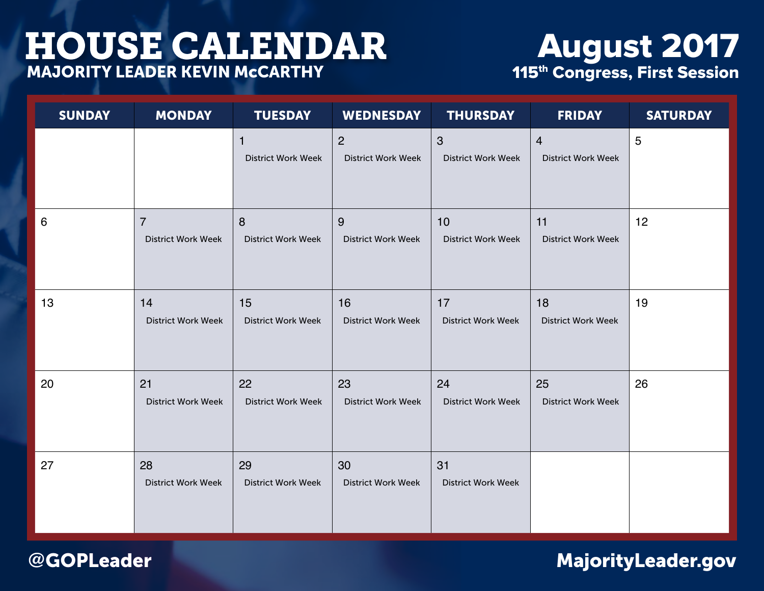# August 2017 115<sup>th</sup> Congress, First Session

| <b>SUNDAY</b> | <b>MONDAY</b>                               | <b>TUESDAY</b>                            | <b>WEDNESDAY</b>                            | <b>THURSDAY</b>                           | <b>FRIDAY</b>                               | <b>SATURDAY</b> |
|---------------|---------------------------------------------|-------------------------------------------|---------------------------------------------|-------------------------------------------|---------------------------------------------|-----------------|
|               |                                             | $\mathbf{1}$<br><b>District Work Week</b> | $\overline{2}$<br><b>District Work Week</b> | $\mathbf{3}$<br><b>District Work Week</b> | $\overline{4}$<br><b>District Work Week</b> | 5               |
| 6             | $\overline{7}$<br><b>District Work Week</b> | 8<br><b>District Work Week</b>            | 9<br><b>District Work Week</b>              | 10<br><b>District Work Week</b>           | 11<br><b>District Work Week</b>             | 12              |
| 13            | 14<br><b>District Work Week</b>             | 15<br><b>District Work Week</b>           | 16<br><b>District Work Week</b>             | 17<br><b>District Work Week</b>           | 18<br><b>District Work Week</b>             | 19              |
| 20            | 21<br><b>District Work Week</b>             | 22<br><b>District Work Week</b>           | 23<br><b>District Work Week</b>             | 24<br><b>District Work Week</b>           | 25<br><b>District Work Week</b>             | 26              |
| 27            | 28<br><b>District Work Week</b>             | 29<br><b>District Work Week</b>           | 30<br><b>District Work Week</b>             | 31<br><b>District Work Week</b>           |                                             |                 |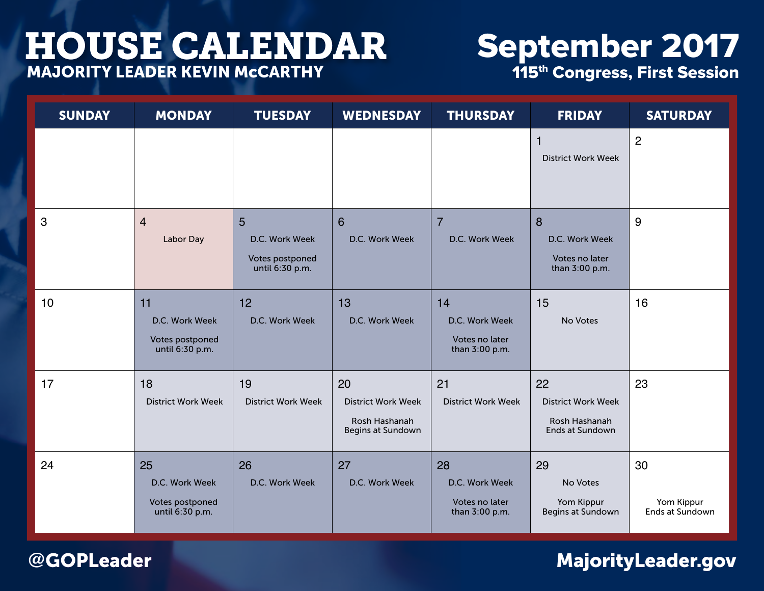# September 2017 115<sup>th</sup> Congress, First Session

| <b>SUNDAY</b> | <b>MONDAY</b>                                              | <b>TUESDAY</b>                                            | <b>WEDNESDAY</b>                                                      | <b>THURSDAY</b>                                          | <b>FRIDAY</b>                                                              | <b>SATURDAY</b>                     |
|---------------|------------------------------------------------------------|-----------------------------------------------------------|-----------------------------------------------------------------------|----------------------------------------------------------|----------------------------------------------------------------------------|-------------------------------------|
|               |                                                            |                                                           |                                                                       |                                                          | $\overline{1}$<br><b>District Work Week</b>                                | $\overline{2}$                      |
| 3             | $\overline{4}$<br>Labor Day                                | 5<br>D.C. Work Week<br>Votes postponed<br>until 6:30 p.m. | 6<br>D.C. Work Week                                                   | $\overline{7}$<br>D.C. Work Week                         | 8<br>D.C. Work Week<br>Votes no later<br>than 3:00 p.m.                    | 9                                   |
| 10            | 11<br>D.C. Work Week<br>Votes postponed<br>until 6:30 p.m. | 12<br>D.C. Work Week                                      | 13<br>D.C. Work Week                                                  | 14<br>D.C. Work Week<br>Votes no later<br>than 3:00 p.m. | 15<br>No Votes                                                             | 16                                  |
| 17            | 18<br><b>District Work Week</b>                            | 19<br><b>District Work Week</b>                           | 20<br><b>District Work Week</b><br>Rosh Hashanah<br>Begins at Sundown | 21<br><b>District Work Week</b>                          | 22<br><b>District Work Week</b><br>Rosh Hashanah<br><b>Ends at Sundown</b> | 23                                  |
| 24            | 25<br>D.C. Work Week<br>Votes postponed<br>until 6:30 p.m. | 26<br>D.C. Work Week                                      | 27<br>D.C. Work Week                                                  | 28<br>D.C. Work Week<br>Votes no later<br>than 3:00 p.m. | 29<br>No Votes<br>Yom Kippur<br>Begins at Sundown                          | 30<br>Yom Kippur<br>Ends at Sundown |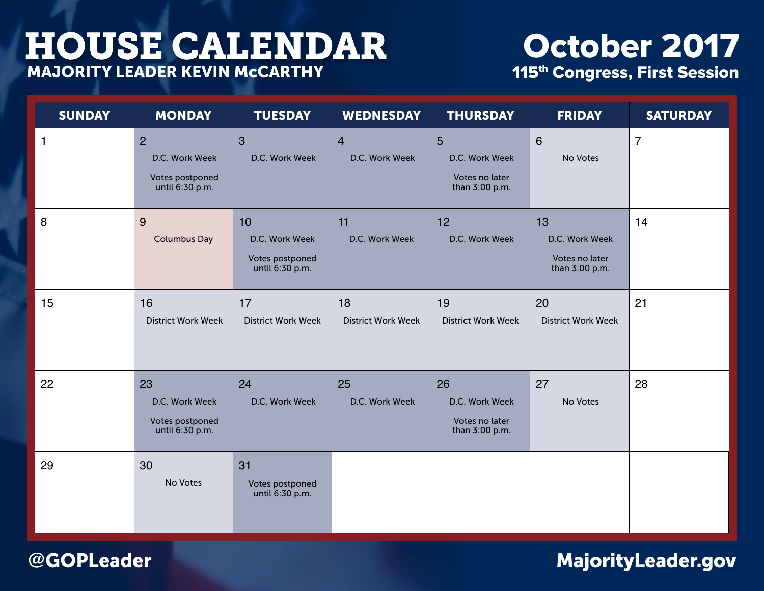# October 2017 115<sup>th</sup> Congress, First Session

| <b>SUNDAY</b> | <b>MONDAY</b>                                                          | <b>TUESDAY</b>                                             | <b>WEDNESDAY</b>                 | <b>THURSDAY</b>                                          | <b>FRIDAY</b>                                            | <b>SATURDAY</b> |
|---------------|------------------------------------------------------------------------|------------------------------------------------------------|----------------------------------|----------------------------------------------------------|----------------------------------------------------------|-----------------|
| $\mathbf{1}$  | $\overline{2}$<br>D.C. Work Week<br>Votes postponed<br>until 6:30 p.m. | $\overline{3}$<br>D.C. Work Week                           | $\overline{4}$<br>D.C. Work Week | 5<br>D.C. Work Week<br>Votes no later<br>than 3:00 p.m.  | $6\phantom{1}$<br>No Votes                               | $\overline{7}$  |
| 8             | 9<br><b>Columbus Day</b>                                               | 10<br>D.C. Work Week<br>Votes postponed<br>until 6:30 p.m. | 11<br>D.C. Work Week             | 12<br>D.C. Work Week                                     | 13<br>D.C. Work Week<br>Votes no later<br>than 3:00 p.m. | 14              |
| 15            | 16<br><b>District Work Week</b>                                        | 17<br><b>District Work Week</b>                            | 18<br><b>District Work Week</b>  | 19<br><b>District Work Week</b>                          | 20<br><b>District Work Week</b>                          | 21              |
| 22            | 23<br>D.C. Work Week<br>Votes postponed<br>until 6:30 p.m.             | 24<br>D.C. Work Week                                       | 25<br>D.C. Work Week             | 26<br>D.C. Work Week<br>Votes no later<br>than 3:00 p.m. | 27<br>No Votes                                           | 28              |
| 29            | 30<br>No Votes                                                         | 31<br>Votes postponed<br>until 6:30 p.m.                   |                                  |                                                          |                                                          |                 |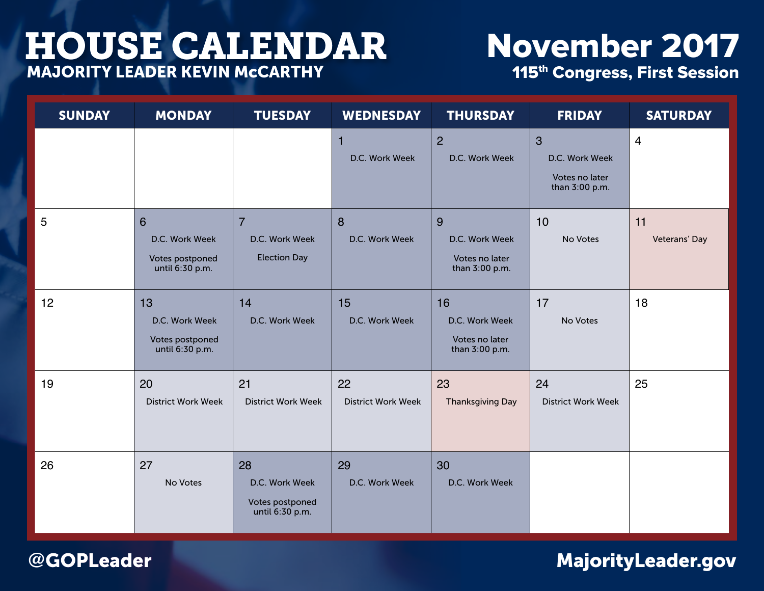### November 2017 115<sup>th</sup> Congress, First Session

SUNDAY MONDAY TUESDAY WEDNESDAY THURSDAY FRIDAY SATURDAY 1 D.C. Work Week  $\mathcal{P}$ D.C. Work Week 3 D.C. Work Week Votes no later than 3:00 p.m. 4 5 6 D.C. Work Week Votes postponed until 6:30 p.m. 7 D.C. Work Week Election Day 8 D.C. Work Week 9 D.C. Work Week Votes no later than 3:00 p.m. 10 No Votes 11 Veterans' Day 12 13 D.C. Work Week Votes postponed until 6:30 p.m. 14 D.C. Work Week 15 D.C. Work Week 16 D.C. Work Week Votes no later than 3:00 p.m. 17 No Votes 18 19 20 District Work Week 21 District Work Week 22 District Work Week 23 Thanksgiving Day 24 District Work Week 25 26 27 No Votes 28 D.C. Work Week Votes postponed until 6:30 p.m. 29 D.C. Work Week 30 D.C. Work Week